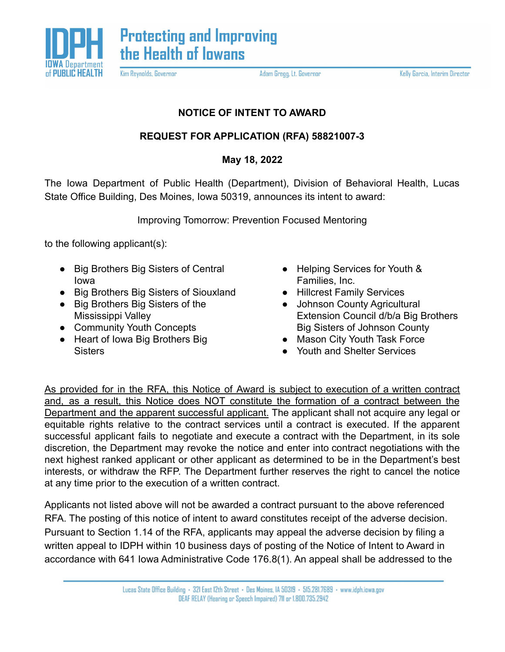

Kim Reynolds, Governor

Adam Gregg, Lt. Governor

Kelly Garcia, Interim Director

## **NOTICE OF INTENT TO AWARD**

## **REQUEST FOR APPLICATION (RFA) 58821007-3**

## **May 18, 2022**

The Iowa Department of Public Health (Department), Division of Behavioral Health, Lucas State Office Building, Des Moines, Iowa 50319, announces its intent to award:

Improving Tomorrow: Prevention Focused Mentoring

to the following applicant(s):

- Big Brothers Big Sisters of Central Iowa
- Big Brothers Big Sisters of Siouxland
- Big Brothers Big Sisters of the Mississippi Valley
- Community Youth Concepts
- Heart of Iowa Big Brothers Big **Sisters**
- Helping Services for Youth & Families, Inc.
- Hillcrest Family Services
- Johnson County Agricultural Extension Council d/b/a Big Brothers Big Sisters of Johnson County
- Mason City Youth Task Force
- Youth and Shelter Services

As provided for in the RFA, this Notice of Award is subject to execution of a written contract and, as a result, this Notice does NOT constitute the formation of a contract between the Department and the apparent successful applicant. The applicant shall not acquire any legal or equitable rights relative to the contract services until a contract is executed. If the apparent successful applicant fails to negotiate and execute a contract with the Department, in its sole discretion, the Department may revoke the notice and enter into contract negotiations with the next highest ranked applicant or other applicant as determined to be in the Department's best interests, or withdraw the RFP. The Department further reserves the right to cancel the notice at any time prior to the execution of a written contract.

Applicants not listed above will not be awarded a contract pursuant to the above referenced RFA. The posting of this notice of intent to award constitutes receipt of the adverse decision. Pursuant to Section 1.14 of the RFA, applicants may appeal the adverse decision by filing a written appeal to IDPH within 10 business days of posting of the Notice of Intent to Award in accordance with 641 Iowa Administrative Code 176.8(1). An appeal shall be addressed to the